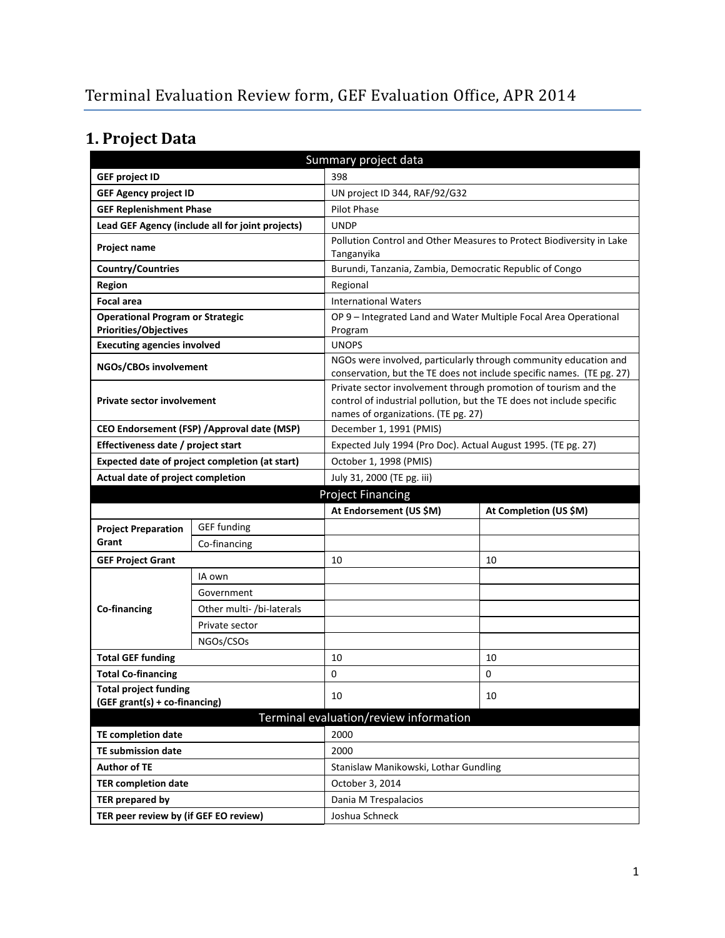# **1. Project Data**

| Summary project data                                   |                                             |                                                         |                                                                                                                                          |  |  |
|--------------------------------------------------------|---------------------------------------------|---------------------------------------------------------|------------------------------------------------------------------------------------------------------------------------------------------|--|--|
| <b>GEF project ID</b>                                  |                                             | 398                                                     |                                                                                                                                          |  |  |
| <b>GEF Agency project ID</b>                           |                                             | UN project ID 344, RAF/92/G32                           |                                                                                                                                          |  |  |
| <b>GEF Replenishment Phase</b>                         |                                             | <b>Pilot Phase</b>                                      |                                                                                                                                          |  |  |
| Lead GEF Agency (include all for joint projects)       |                                             | <b>UNDP</b>                                             |                                                                                                                                          |  |  |
| Project name                                           |                                             | Tanganyika                                              | Pollution Control and Other Measures to Protect Biodiversity in Lake                                                                     |  |  |
| <b>Country/Countries</b>                               |                                             | Burundi, Tanzania, Zambia, Democratic Republic of Congo |                                                                                                                                          |  |  |
| <b>Region</b>                                          |                                             | Regional                                                |                                                                                                                                          |  |  |
| <b>Focal area</b>                                      |                                             | <b>International Waters</b>                             |                                                                                                                                          |  |  |
| <b>Operational Program or Strategic</b>                |                                             |                                                         | OP 9 - Integrated Land and Water Multiple Focal Area Operational                                                                         |  |  |
| Priorities/Objectives                                  |                                             | Program                                                 |                                                                                                                                          |  |  |
| <b>Executing agencies involved</b>                     |                                             | <b>UNOPS</b>                                            |                                                                                                                                          |  |  |
| NGOs/CBOs involvement                                  |                                             |                                                         | NGOs were involved, particularly through community education and                                                                         |  |  |
|                                                        |                                             |                                                         | conservation, but the TE does not include specific names. (TE pg. 27)<br>Private sector involvement through promotion of tourism and the |  |  |
| <b>Private sector involvement</b>                      |                                             | names of organizations. (TE pg. 27)                     | control of industrial pollution, but the TE does not include specific                                                                    |  |  |
|                                                        | CEO Endorsement (FSP) / Approval date (MSP) | December 1, 1991 (PMIS)                                 |                                                                                                                                          |  |  |
| Effectiveness date / project start                     |                                             |                                                         | Expected July 1994 (Pro Doc). Actual August 1995. (TE pg. 27)                                                                            |  |  |
| Expected date of project completion (at start)         |                                             | October 1, 1998 (PMIS)                                  |                                                                                                                                          |  |  |
| Actual date of project completion                      |                                             | July 31, 2000 (TE pg. iii)                              |                                                                                                                                          |  |  |
|                                                        |                                             | <b>Project Financing</b>                                |                                                                                                                                          |  |  |
|                                                        |                                             | At Endorsement (US \$M)                                 | At Completion (US \$M)                                                                                                                   |  |  |
| <b>Project Preparation</b>                             | <b>GEF funding</b>                          |                                                         |                                                                                                                                          |  |  |
| Grant                                                  | Co-financing                                |                                                         |                                                                                                                                          |  |  |
| <b>GEF Project Grant</b>                               |                                             | 10                                                      | 10                                                                                                                                       |  |  |
|                                                        |                                             |                                                         |                                                                                                                                          |  |  |
|                                                        | IA own                                      |                                                         |                                                                                                                                          |  |  |
|                                                        | Government                                  |                                                         |                                                                                                                                          |  |  |
| Co-financing                                           | Other multi- /bi-laterals                   |                                                         |                                                                                                                                          |  |  |
|                                                        | Private sector                              |                                                         |                                                                                                                                          |  |  |
|                                                        | NGOs/CSOs                                   |                                                         |                                                                                                                                          |  |  |
| <b>Total GEF funding</b>                               |                                             | 10                                                      | 10                                                                                                                                       |  |  |
| <b>Total Co-financing</b>                              |                                             | 0                                                       | 0                                                                                                                                        |  |  |
| <b>Total project funding</b>                           |                                             | 10                                                      | 10                                                                                                                                       |  |  |
| (GEF grant(s) + co-financing)                          |                                             |                                                         |                                                                                                                                          |  |  |
|                                                        |                                             | Terminal evaluation/review information<br>2000          |                                                                                                                                          |  |  |
| <b>TE completion date</b><br><b>TE submission date</b> |                                             | 2000                                                    |                                                                                                                                          |  |  |
| <b>Author of TE</b>                                    |                                             | Stanislaw Manikowski, Lothar Gundling                   |                                                                                                                                          |  |  |
| <b>TER completion date</b>                             |                                             | October 3, 2014                                         |                                                                                                                                          |  |  |
| TER prepared by                                        |                                             | Dania M Trespalacios                                    |                                                                                                                                          |  |  |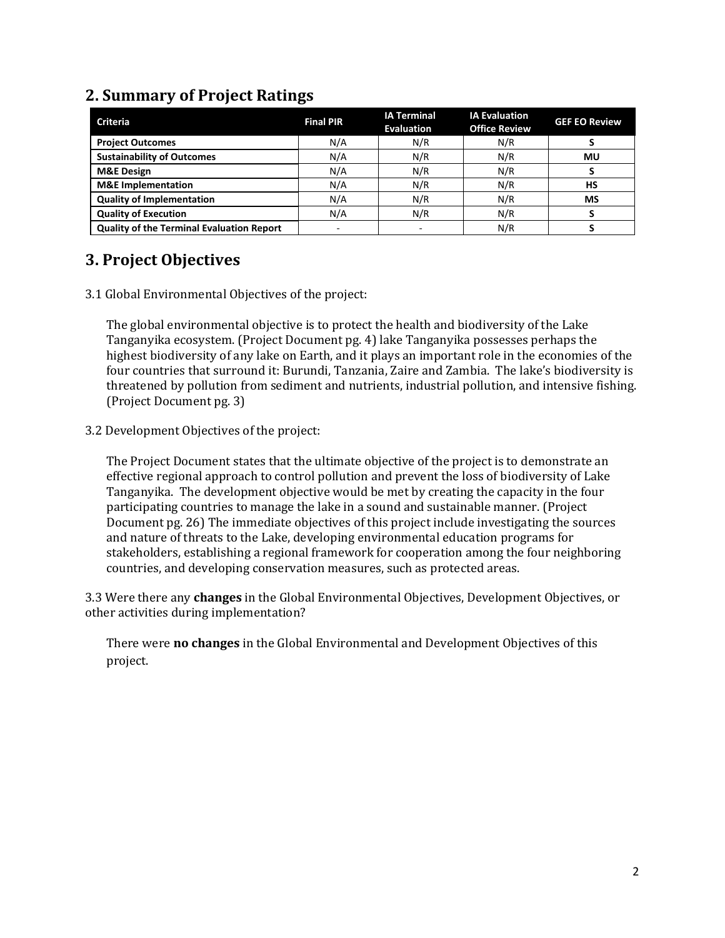| <b>Criteria</b>                                  | <b>Final PIR</b> | <b>IA Terminal</b><br>Evaluation | <b>IA Evaluation</b><br><b>Office Review</b> | <b>GEF EO Review</b> |
|--------------------------------------------------|------------------|----------------------------------|----------------------------------------------|----------------------|
| <b>Project Outcomes</b>                          | N/A              | N/R                              | N/R                                          |                      |
| <b>Sustainability of Outcomes</b>                | N/A              | N/R                              | N/R                                          | MU                   |
| <b>M&amp;E Design</b>                            | N/A              | N/R                              | N/R                                          |                      |
| <b>M&amp;E</b> Implementation                    | N/A              | N/R                              | N/R                                          | HS                   |
| <b>Quality of Implementation</b>                 | N/A              | N/R                              | N/R                                          | MS                   |
| <b>Quality of Execution</b>                      | N/A              | N/R                              | N/R                                          |                      |
| <b>Quality of the Terminal Evaluation Report</b> | ÷                |                                  | N/R                                          |                      |

### **2. Summary of Project Ratings**

### **3. Project Objectives**

3.1 Global Environmental Objectives of the project:

The global environmental objective is to protect the health and biodiversity of the Lake Tanganyika ecosystem. (Project Document pg. 4) lake Tanganyika possesses perhaps the highest biodiversity of any lake on Earth, and it plays an important role in the economies of the four countries that surround it: Burundi, Tanzania, Zaire and Zambia. The lake's biodiversity is threatened by pollution from sediment and nutrients, industrial pollution, and intensive fishing. (Project Document pg. 3)

3.2 Development Objectives of the project:

The Project Document states that the ultimate objective of the project is to demonstrate an effective regional approach to control pollution and prevent the loss of biodiversity of Lake Tanganyika. The development objective would be met by creating the capacity in the four participating countries to manage the lake in a sound and sustainable manner. (Project Document pg. 26) The immediate objectives of this project include investigating the sources and nature of threats to the Lake, developing environmental education programs for stakeholders, establishing a regional framework for cooperation among the four neighboring countries, and developing conservation measures, such as protected areas.

3.3 Were there any **changes** in the Global Environmental Objectives, Development Objectives, or other activities during implementation?

There were **no changes** in the Global Environmental and Development Objectives of this project.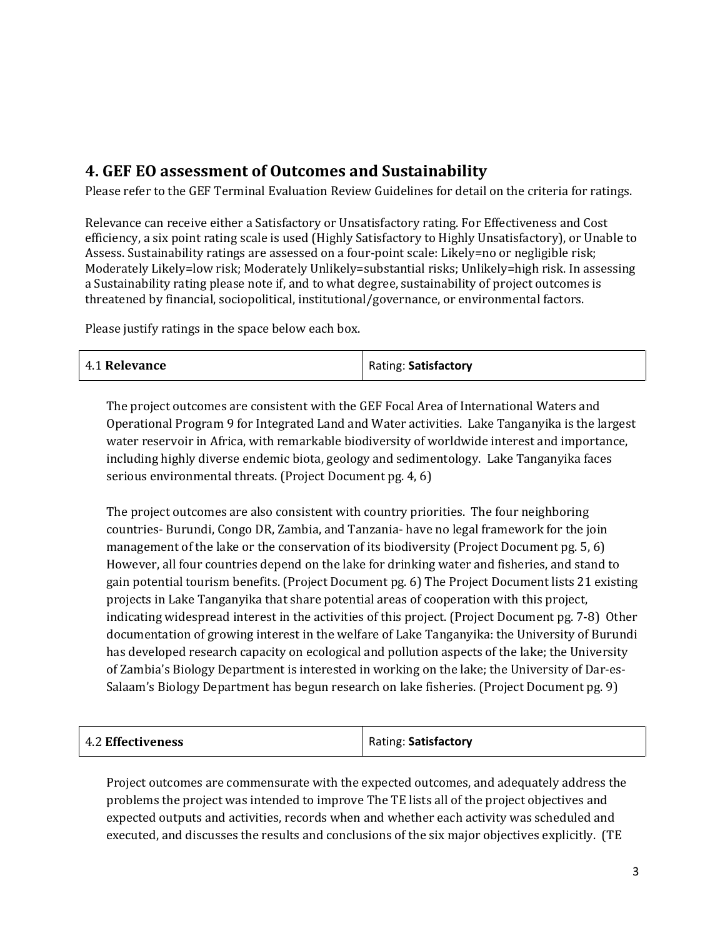### **4. GEF EO assessment of Outcomes and Sustainability**

Please refer to the GEF Terminal Evaluation Review Guidelines for detail on the criteria for ratings.

Relevance can receive either a Satisfactory or Unsatisfactory rating. For Effectiveness and Cost efficiency, a six point rating scale is used (Highly Satisfactory to Highly Unsatisfactory), or Unable to Assess. Sustainability ratings are assessed on a four-point scale: Likely=no or negligible risk; Moderately Likely=low risk; Moderately Unlikely=substantial risks; Unlikely=high risk. In assessing a Sustainability rating please note if, and to what degree, sustainability of project outcomes is threatened by financial, sociopolitical, institutional/governance, or environmental factors.

Please justify ratings in the space below each box.

| 4.1 Relevance | Rating: Satisfactory |
|---------------|----------------------|
|---------------|----------------------|

The project outcomes are consistent with the GEF Focal Area of International Waters and Operational Program 9 for Integrated Land and Water activities. Lake Tanganyika is the largest water reservoir in Africa, with remarkable biodiversity of worldwide interest and importance, including highly diverse endemic biota, geology and sedimentology. Lake Tanganyika faces serious environmental threats. (Project Document pg. 4, 6)

The project outcomes are also consistent with country priorities. The four neighboring countries- Burundi, Congo DR, Zambia, and Tanzania- have no legal framework for the join management of the lake or the conservation of its biodiversity (Project Document pg. 5, 6) However, all four countries depend on the lake for drinking water and fisheries, and stand to gain potential tourism benefits. (Project Document pg. 6) The Project Document lists 21 existing projects in Lake Tanganyika that share potential areas of cooperation with this project, indicating widespread interest in the activities of this project. (Project Document pg. 7-8) Other documentation of growing interest in the welfare of Lake Tanganyika: the University of Burundi has developed research capacity on ecological and pollution aspects of the lake; the University of Zambia's Biology Department is interested in working on the lake; the University of Dar-es-Salaam's Biology Department has begun research on lake fisheries. (Project Document pg. 9)

| 4.2 Effectiveness | Rating: Satisfactory |
|-------------------|----------------------|
|-------------------|----------------------|

Project outcomes are commensurate with the expected outcomes, and adequately address the problems the project was intended to improve The TE lists all of the project objectives and expected outputs and activities, records when and whether each activity was scheduled and executed, and discusses the results and conclusions of the six major objectives explicitly. (TE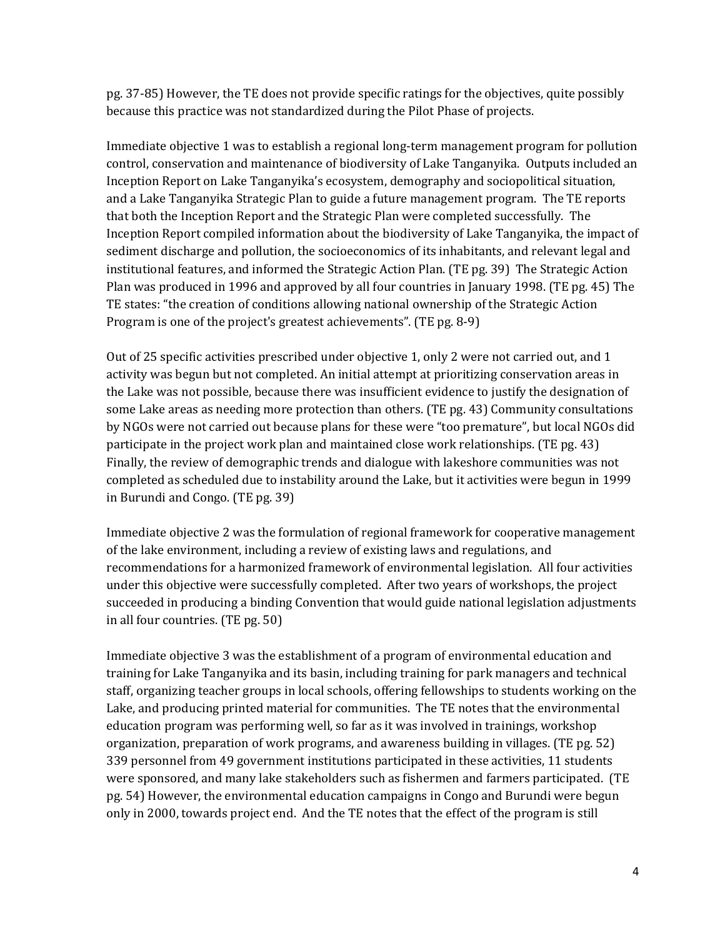pg. 37-85) However, the TE does not provide specific ratings for the objectives, quite possibly because this practice was not standardized during the Pilot Phase of projects.

Immediate objective 1 was to establish a regional long-term management program for pollution control, conservation and maintenance of biodiversity of Lake Tanganyika. Outputs included an Inception Report on Lake Tanganyika's ecosystem, demography and sociopolitical situation, and a Lake Tanganyika Strategic Plan to guide a future management program. The TE reports that both the Inception Report and the Strategic Plan were completed successfully. The Inception Report compiled information about the biodiversity of Lake Tanganyika, the impact of sediment discharge and pollution, the socioeconomics of its inhabitants, and relevant legal and institutional features, and informed the Strategic Action Plan. (TE pg. 39) The Strategic Action Plan was produced in 1996 and approved by all four countries in January 1998. (TE pg. 45) The TE states: "the creation of conditions allowing national ownership of the Strategic Action Program is one of the project's greatest achievements". (TE pg. 8-9)

Out of 25 specific activities prescribed under objective 1, only 2 were not carried out, and 1 activity was begun but not completed. An initial attempt at prioritizing conservation areas in the Lake was not possible, because there was insufficient evidence to justify the designation of some Lake areas as needing more protection than others. (TE pg. 43) Community consultations by NGOs were not carried out because plans for these were "too premature", but local NGOs did participate in the project work plan and maintained close work relationships. (TE pg. 43) Finally, the review of demographic trends and dialogue with lakeshore communities was not completed as scheduled due to instability around the Lake, but it activities were begun in 1999 in Burundi and Congo. (TE pg. 39)

Immediate objective 2 was the formulation of regional framework for cooperative management of the lake environment, including a review of existing laws and regulations, and recommendations for a harmonized framework of environmental legislation. All four activities under this objective were successfully completed. After two years of workshops, the project succeeded in producing a binding Convention that would guide national legislation adjustments in all four countries. (TE pg. 50)

Immediate objective 3 was the establishment of a program of environmental education and training for Lake Tanganyika and its basin, including training for park managers and technical staff, organizing teacher groups in local schools, offering fellowships to students working on the Lake, and producing printed material for communities. The TE notes that the environmental education program was performing well, so far as it was involved in trainings, workshop organization, preparation of work programs, and awareness building in villages. (TE pg. 52) 339 personnel from 49 government institutions participated in these activities, 11 students were sponsored, and many lake stakeholders such as fishermen and farmers participated. (TE pg. 54) However, the environmental education campaigns in Congo and Burundi were begun only in 2000, towards project end. And the TE notes that the effect of the program is still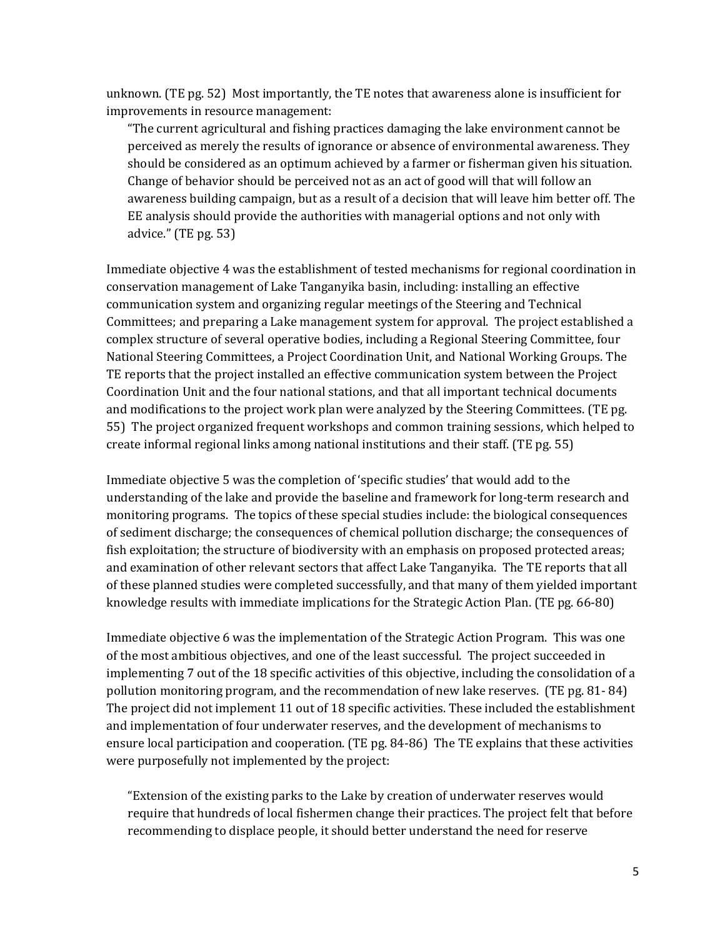unknown. (TE pg. 52) Most importantly, the TE notes that awareness alone is insufficient for improvements in resource management:

"The current agricultural and fishing practices damaging the lake environment cannot be perceived as merely the results of ignorance or absence of environmental awareness. They should be considered as an optimum achieved by a farmer or fisherman given his situation. Change of behavior should be perceived not as an act of good will that will follow an awareness building campaign, but as a result of a decision that will leave him better off. The EE analysis should provide the authorities with managerial options and not only with advice." (TE pg. 53)

Immediate objective 4 was the establishment of tested mechanisms for regional coordination in conservation management of Lake Tanganyika basin, including: installing an effective communication system and organizing regular meetings of the Steering and Technical Committees; and preparing a Lake management system for approval. The project established a complex structure of several operative bodies, including a Regional Steering Committee, four National Steering Committees, a Project Coordination Unit, and National Working Groups. The TE reports that the project installed an effective communication system between the Project Coordination Unit and the four national stations, and that all important technical documents and modifications to the project work plan were analyzed by the Steering Committees. (TE pg. 55) The project organized frequent workshops and common training sessions, which helped to create informal regional links among national institutions and their staff. (TE pg. 55)

Immediate objective 5 was the completion of 'specific studies' that would add to the understanding of the lake and provide the baseline and framework for long-term research and monitoring programs. The topics of these special studies include: the biological consequences of sediment discharge; the consequences of chemical pollution discharge; the consequences of fish exploitation; the structure of biodiversity with an emphasis on proposed protected areas; and examination of other relevant sectors that affect Lake Tanganyika. The TE reports that all of these planned studies were completed successfully, and that many of them yielded important knowledge results with immediate implications for the Strategic Action Plan. (TE pg. 66-80)

Immediate objective 6 was the implementation of the Strategic Action Program. This was one of the most ambitious objectives, and one of the least successful. The project succeeded in implementing 7 out of the 18 specific activities of this objective, including the consolidation of a pollution monitoring program, and the recommendation of new lake reserves. (TE pg. 81- 84) The project did not implement 11 out of 18 specific activities. These included the establishment and implementation of four underwater reserves, and the development of mechanisms to ensure local participation and cooperation. (TE pg. 84-86) The TE explains that these activities were purposefully not implemented by the project:

"Extension of the existing parks to the Lake by creation of underwater reserves would require that hundreds of local fishermen change their practices. The project felt that before recommending to displace people, it should better understand the need for reserve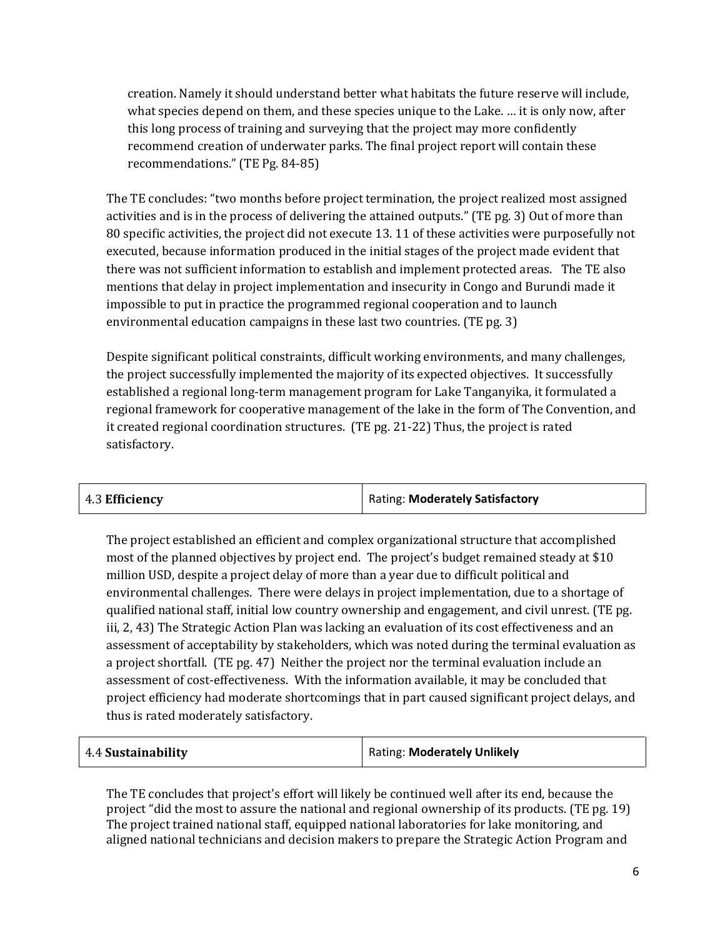creation. Namely it should understand better what habitats the future reserve will include, what species depend on them, and these species unique to the Lake. … it is only now, after this long process of training and surveying that the project may more confidently recommend creation of underwater parks. The final project report will contain these recommendations." (TE Pg. 84-85)

The TE concludes: "two months before project termination, the project realized most assigned activities and is in the process of delivering the attained outputs." (TE pg. 3) Out of more than 80 specific activities, the project did not execute 13. 11 of these activities were purposefully not executed, because information produced in the initial stages of the project made evident that there was not sufficient information to establish and implement protected areas. The TE also mentions that delay in project implementation and insecurity in Congo and Burundi made it impossible to put in practice the programmed regional cooperation and to launch environmental education campaigns in these last two countries. (TE pg. 3)

Despite significant political constraints, difficult working environments, and many challenges, the project successfully implemented the majority of its expected objectives. It successfully established a regional long-term management program for Lake Tanganyika, it formulated a regional framework for cooperative management of the lake in the form of The Convention, and it created regional coordination structures. (TE pg. 21-22) Thus, the project is rated satisfactory.

| 4.3 Efficiency | Rating: Moderately Satisfactory |
|----------------|---------------------------------|
|                |                                 |

The project established an efficient and complex organizational structure that accomplished most of the planned objectives by project end. The project's budget remained steady at \$10 million USD, despite a project delay of more than a year due to difficult political and environmental challenges. There were delays in project implementation, due to a shortage of qualified national staff, initial low country ownership and engagement, and civil unrest. (TE pg. iii, 2, 43) The Strategic Action Plan was lacking an evaluation of its cost effectiveness and an assessment of acceptability by stakeholders, which was noted during the terminal evaluation as a project shortfall. (TE pg. 47) Neither the project nor the terminal evaluation include an assessment of cost-effectiveness. With the information available, it may be concluded that project efficiency had moderate shortcomings that in part caused significant project delays, and thus is rated moderately satisfactory.

| 4.4 Sustainability | Rating: Moderately Unlikely |
|--------------------|-----------------------------|
|--------------------|-----------------------------|

The TE concludes that project's effort will likely be continued well after its end, because the project "did the most to assure the national and regional ownership of its products. (TE pg. 19) The project trained national staff, equipped national laboratories for lake monitoring, and aligned national technicians and decision makers to prepare the Strategic Action Program and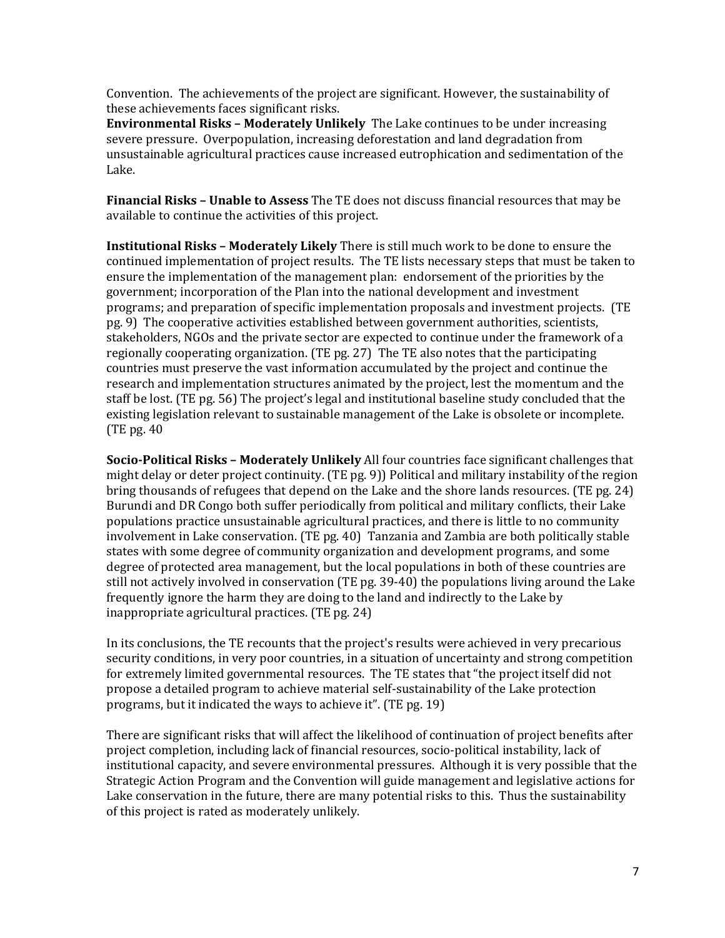Convention. The achievements of the project are significant. However, the sustainability of these achievements faces significant risks.

**Environmental Risks – Moderately Unlikely** The Lake continues to be under increasing severe pressure. Overpopulation, increasing deforestation and land degradation from unsustainable agricultural practices cause increased eutrophication and sedimentation of the Lake.

**Financial Risks – Unable to Assess** The TE does not discuss financial resources that may be available to continue the activities of this project.

**Institutional Risks – Moderately Likely** There is still much work to be done to ensure the continued implementation of project results. The TE lists necessary steps that must be taken to ensure the implementation of the management plan: endorsement of the priorities by the government; incorporation of the Plan into the national development and investment programs; and preparation of specific implementation proposals and investment projects. (TE pg. 9) The cooperative activities established between government authorities, scientists, stakeholders, NGOs and the private sector are expected to continue under the framework of a regionally cooperating organization. (TE pg. 27) The TE also notes that the participating countries must preserve the vast information accumulated by the project and continue the research and implementation structures animated by the project, lest the momentum and the staff be lost. (TE pg. 56) The project's legal and institutional baseline study concluded that the existing legislation relevant to sustainable management of the Lake is obsolete or incomplete. (TE pg. 40

**Socio-Political Risks – Moderately Unlikely** All four countries face significant challenges that might delay or deter project continuity. (TE pg. 9)) Political and military instability of the region bring thousands of refugees that depend on the Lake and the shore lands resources. (TE pg. 24) Burundi and DR Congo both suffer periodically from political and military conflicts, their Lake populations practice unsustainable agricultural practices, and there is little to no community involvement in Lake conservation. (TE pg. 40) Tanzania and Zambia are both politically stable states with some degree of community organization and development programs, and some degree of protected area management, but the local populations in both of these countries are still not actively involved in conservation (TE pg. 39-40) the populations living around the Lake frequently ignore the harm they are doing to the land and indirectly to the Lake by inappropriate agricultural practices. (TE pg. 24)

In its conclusions, the TE recounts that the project's results were achieved in very precarious security conditions, in very poor countries, in a situation of uncertainty and strong competition for extremely limited governmental resources. The TE states that "the project itself did not propose a detailed program to achieve material self-sustainability of the Lake protection programs, but it indicated the ways to achieve it". (TE pg. 19)

There are significant risks that will affect the likelihood of continuation of project benefits after project completion, including lack of financial resources, socio-political instability, lack of institutional capacity, and severe environmental pressures. Although it is very possible that the Strategic Action Program and the Convention will guide management and legislative actions for Lake conservation in the future, there are many potential risks to this. Thus the sustainability of this project is rated as moderately unlikely.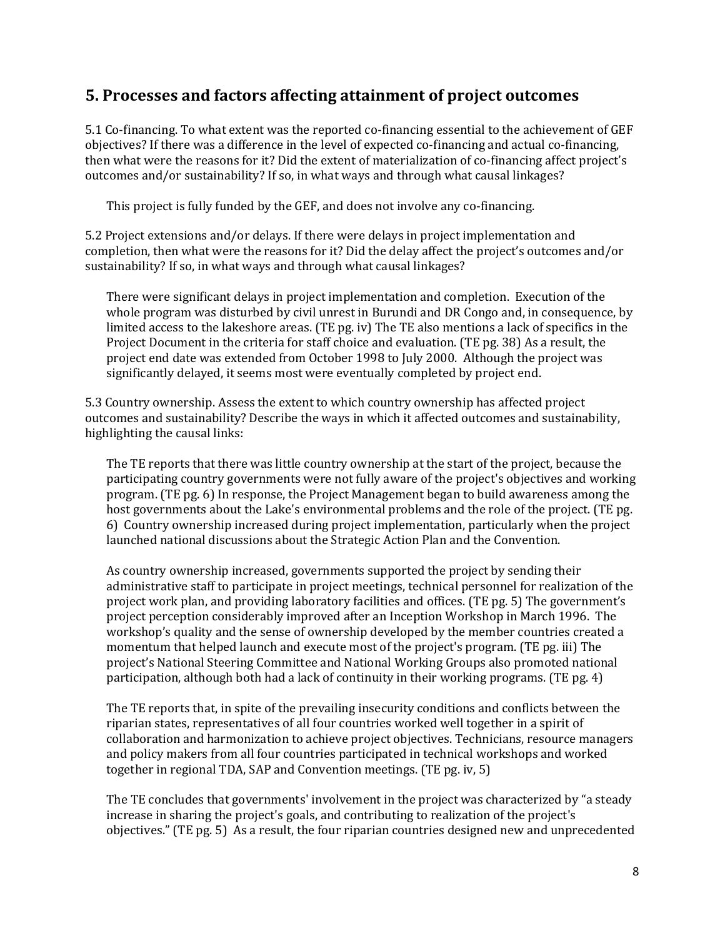#### **5. Processes and factors affecting attainment of project outcomes**

5.1 Co-financing. To what extent was the reported co-financing essential to the achievement of GEF objectives? If there was a difference in the level of expected co-financing and actual co-financing, then what were the reasons for it? Did the extent of materialization of co-financing affect project's outcomes and/or sustainability? If so, in what ways and through what causal linkages?

This project is fully funded by the GEF, and does not involve any co-financing.

5.2 Project extensions and/or delays. If there were delays in project implementation and completion, then what were the reasons for it? Did the delay affect the project's outcomes and/or sustainability? If so, in what ways and through what causal linkages?

There were significant delays in project implementation and completion. Execution of the whole program was disturbed by civil unrest in Burundi and DR Congo and, in consequence, by limited access to the lakeshore areas. (TE pg. iv) The TE also mentions a lack of specifics in the Project Document in the criteria for staff choice and evaluation. (TE pg. 38) As a result, the project end date was extended from October 1998 to July 2000. Although the project was significantly delayed, it seems most were eventually completed by project end.

5.3 Country ownership. Assess the extent to which country ownership has affected project outcomes and sustainability? Describe the ways in which it affected outcomes and sustainability, highlighting the causal links:

The TE reports that there was little country ownership at the start of the project, because the participating country governments were not fully aware of the project's objectives and working program. (TE pg. 6) In response, the Project Management began to build awareness among the host governments about the Lake's environmental problems and the role of the project. (TE pg. 6) Country ownership increased during project implementation, particularly when the project launched national discussions about the Strategic Action Plan and the Convention.

As country ownership increased, governments supported the project by sending their administrative staff to participate in project meetings, technical personnel for realization of the project work plan, and providing laboratory facilities and offices. (TE pg. 5) The government's project perception considerably improved after an Inception Workshop in March 1996. The workshop's quality and the sense of ownership developed by the member countries created a momentum that helped launch and execute most of the project's program. (TE pg. iii) The project's National Steering Committee and National Working Groups also promoted national participation, although both had a lack of continuity in their working programs. (TE pg. 4)

The TE reports that, in spite of the prevailing insecurity conditions and conflicts between the riparian states, representatives of all four countries worked well together in a spirit of collaboration and harmonization to achieve project objectives. Technicians, resource managers and policy makers from all four countries participated in technical workshops and worked together in regional TDA, SAP and Convention meetings. (TE pg. iv, 5)

The TE concludes that governments' involvement in the project was characterized by "a steady increase in sharing the project's goals, and contributing to realization of the project's objectives." (TE pg. 5) As a result, the four riparian countries designed new and unprecedented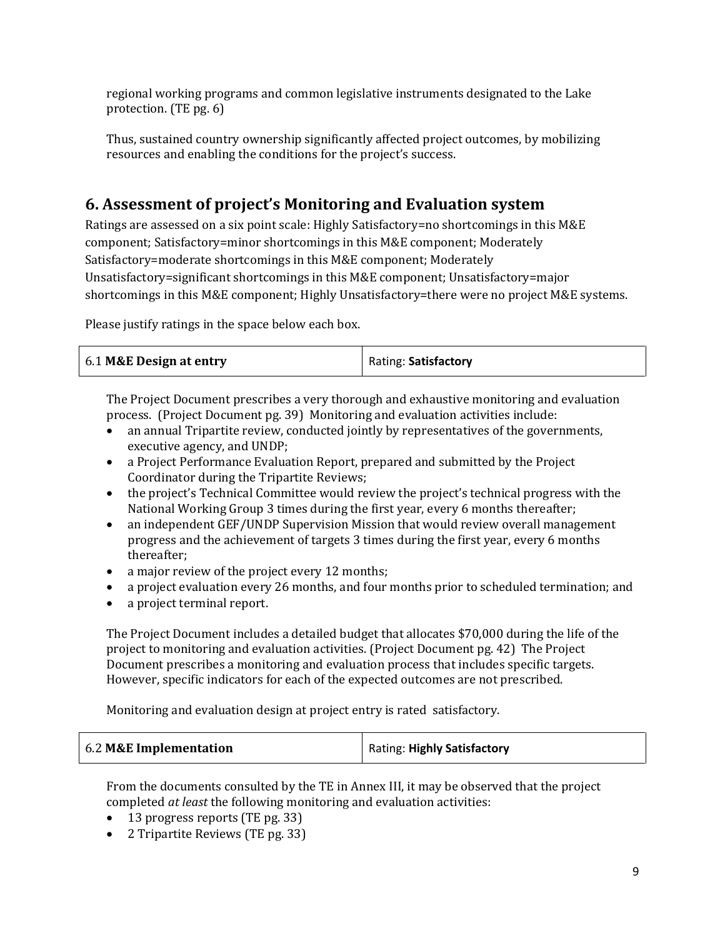regional working programs and common legislative instruments designated to the Lake protection. (TE pg. 6)

Thus, sustained country ownership significantly affected project outcomes, by mobilizing resources and enabling the conditions for the project's success.

### **6. Assessment of project's Monitoring and Evaluation system**

Ratings are assessed on a six point scale: Highly Satisfactory=no shortcomings in this M&E component; Satisfactory=minor shortcomings in this M&E component; Moderately Satisfactory=moderate shortcomings in this M&E component; Moderately Unsatisfactory=significant shortcomings in this M&E component; Unsatisfactory=major shortcomings in this M&E component; Highly Unsatisfactory=there were no project M&E systems.

Please justify ratings in the space below each box.

| 6.1 M&E Design at entry | Rating: Satisfactory |
|-------------------------|----------------------|
|-------------------------|----------------------|

The Project Document prescribes a very thorough and exhaustive monitoring and evaluation process. (Project Document pg. 39) Monitoring and evaluation activities include:

- an annual Tripartite review, conducted jointly by representatives of the governments, executive agency, and UNDP;
- a Project Performance Evaluation Report, prepared and submitted by the Project Coordinator during the Tripartite Reviews;
- the project's Technical Committee would review the project's technical progress with the National Working Group 3 times during the first year, every 6 months thereafter;
- an independent GEF/UNDP Supervision Mission that would review overall management progress and the achievement of targets 3 times during the first year, every 6 months thereafter;
- a major review of the project every 12 months;
- a project evaluation every 26 months, and four months prior to scheduled termination; and
- a project terminal report.

The Project Document includes a detailed budget that allocates \$70,000 during the life of the project to monitoring and evaluation activities. (Project Document pg. 42) The Project Document prescribes a monitoring and evaluation process that includes specific targets. However, specific indicators for each of the expected outcomes are not prescribed.

Monitoring and evaluation design at project entry is rated satisfactory.

| 6.2 M&E Implementation | Rating: Highly Satisfactory |
|------------------------|-----------------------------|
|                        |                             |

From the documents consulted by the TE in Annex III, it may be observed that the project completed *at least* the following monitoring and evaluation activities:

- 13 progress reports (TE pg. 33)
- 2 Tripartite Reviews (TE pg. 33)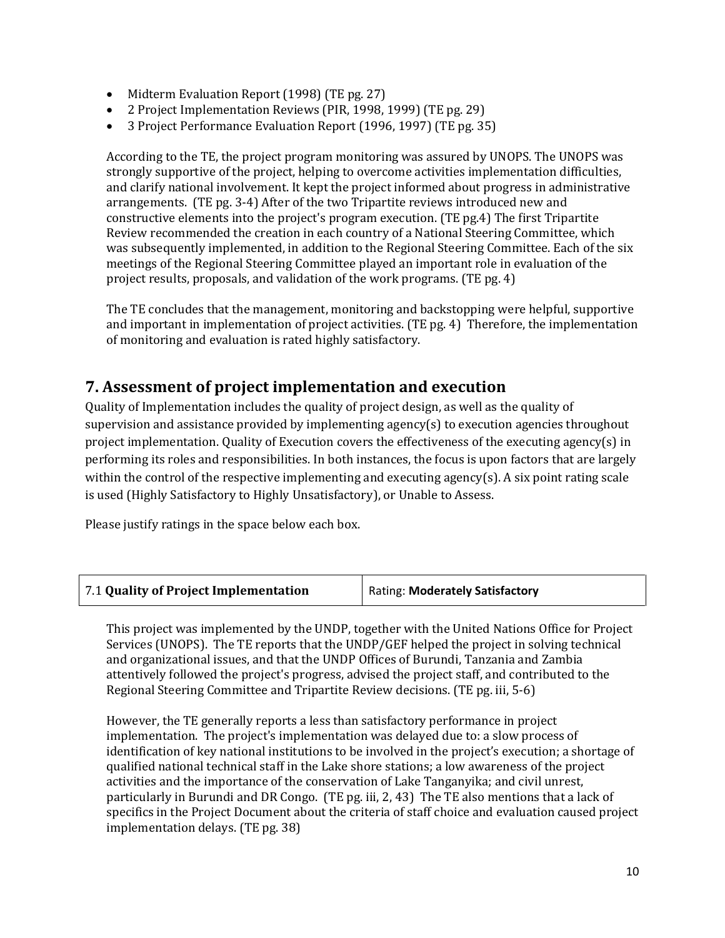- Midterm Evaluation Report (1998) (TE pg. 27)
- 2 Project Implementation Reviews (PIR, 1998, 1999) (TE pg. 29)
- 3 Project Performance Evaluation Report (1996, 1997) (TE pg. 35)

According to the TE, the project program monitoring was assured by UNOPS. The UNOPS was strongly supportive of the project, helping to overcome activities implementation difficulties, and clarify national involvement. It kept the project informed about progress in administrative arrangements. (TE pg. 3-4) After of the two Tripartite reviews introduced new and constructive elements into the project's program execution. (TE pg.4) The first Tripartite Review recommended the creation in each country of a National Steering Committee, which was subsequently implemented, in addition to the Regional Steering Committee. Each of the six meetings of the Regional Steering Committee played an important role in evaluation of the project results, proposals, and validation of the work programs. (TE pg. 4)

The TE concludes that the management, monitoring and backstopping were helpful, supportive and important in implementation of project activities. (TE pg. 4) Therefore, the implementation of monitoring and evaluation is rated highly satisfactory.

#### **7. Assessment of project implementation and execution**

Quality of Implementation includes the quality of project design, as well as the quality of supervision and assistance provided by implementing agency(s) to execution agencies throughout project implementation. Quality of Execution covers the effectiveness of the executing agency(s) in performing its roles and responsibilities. In both instances, the focus is upon factors that are largely within the control of the respective implementing and executing agency(s). A six point rating scale is used (Highly Satisfactory to Highly Unsatisfactory), or Unable to Assess.

Please justify ratings in the space below each box.

| 7.1 Quality of Project Implementation | Rating: Moderately Satisfactory |
|---------------------------------------|---------------------------------|
|                                       |                                 |

This project was implemented by the UNDP, together with the United Nations Office for Project Services (UNOPS). The TE reports that the UNDP/GEF helped the project in solving technical and organizational issues, and that the UNDP Offices of Burundi, Tanzania and Zambia attentively followed the project's progress, advised the project staff, and contributed to the Regional Steering Committee and Tripartite Review decisions. (TE pg. iii, 5-6)

However, the TE generally reports a less than satisfactory performance in project implementation. The project's implementation was delayed due to: a slow process of identification of key national institutions to be involved in the project's execution; a shortage of qualified national technical staff in the Lake shore stations; a low awareness of the project activities and the importance of the conservation of Lake Tanganyika; and civil unrest, particularly in Burundi and DR Congo. (TE pg. iii, 2, 43) The TE also mentions that a lack of specifics in the Project Document about the criteria of staff choice and evaluation caused project implementation delays. (TE pg. 38)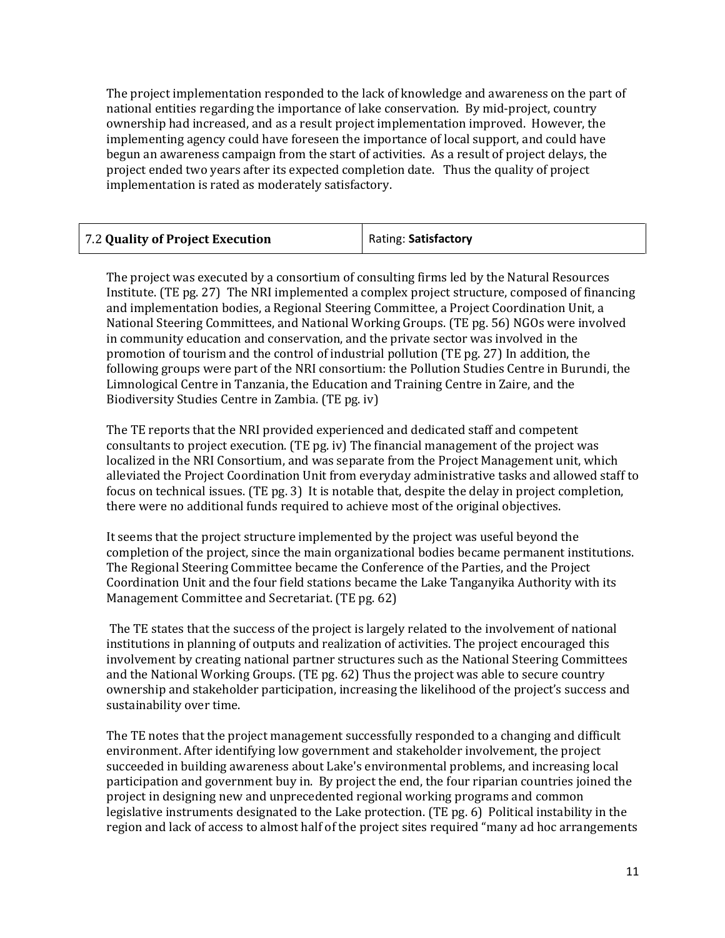The project implementation responded to the lack of knowledge and awareness on the part of national entities regarding the importance of lake conservation. By mid-project, country ownership had increased, and as a result project implementation improved. However, the implementing agency could have foreseen the importance of local support, and could have begun an awareness campaign from the start of activities. As a result of project delays, the project ended two years after its expected completion date. Thus the quality of project implementation is rated as moderately satisfactory.

| 7.2 Quality of Project Execution | Rating: Satisfactory |
|----------------------------------|----------------------|
|----------------------------------|----------------------|

The project was executed by a consortium of consulting firms led by the Natural Resources Institute. (TE pg. 27) The NRI implemented a complex project structure, composed of financing and implementation bodies, a Regional Steering Committee, a Project Coordination Unit, a National Steering Committees, and National Working Groups. (TE pg. 56) NGOs were involved in community education and conservation, and the private sector was involved in the promotion of tourism and the control of industrial pollution (TE pg. 27) In addition, the following groups were part of the NRI consortium: the Pollution Studies Centre in Burundi, the Limnological Centre in Tanzania, the Education and Training Centre in Zaire, and the Biodiversity Studies Centre in Zambia. (TE pg. iv)

The TE reports that the NRI provided experienced and dedicated staff and competent consultants to project execution. (TE pg. iv) The financial management of the project was localized in the NRI Consortium, and was separate from the Project Management unit, which alleviated the Project Coordination Unit from everyday administrative tasks and allowed staff to focus on technical issues. (TE pg. 3) It is notable that, despite the delay in project completion, there were no additional funds required to achieve most of the original objectives.

It seems that the project structure implemented by the project was useful beyond the completion of the project, since the main organizational bodies became permanent institutions. The Regional Steering Committee became the Conference of the Parties, and the Project Coordination Unit and the four field stations became the Lake Tanganyika Authority with its Management Committee and Secretariat. (TE pg. 62)

The TE states that the success of the project is largely related to the involvement of national institutions in planning of outputs and realization of activities. The project encouraged this involvement by creating national partner structures such as the National Steering Committees and the National Working Groups. (TE pg. 62) Thus the project was able to secure country ownership and stakeholder participation, increasing the likelihood of the project's success and sustainability over time.

The TE notes that the project management successfully responded to a changing and difficult environment. After identifying low government and stakeholder involvement, the project succeeded in building awareness about Lake's environmental problems, and increasing local participation and government buy in. By project the end, the four riparian countries joined the project in designing new and unprecedented regional working programs and common legislative instruments designated to the Lake protection. (TE pg. 6) Political instability in the region and lack of access to almost half of the project sites required "many ad hoc arrangements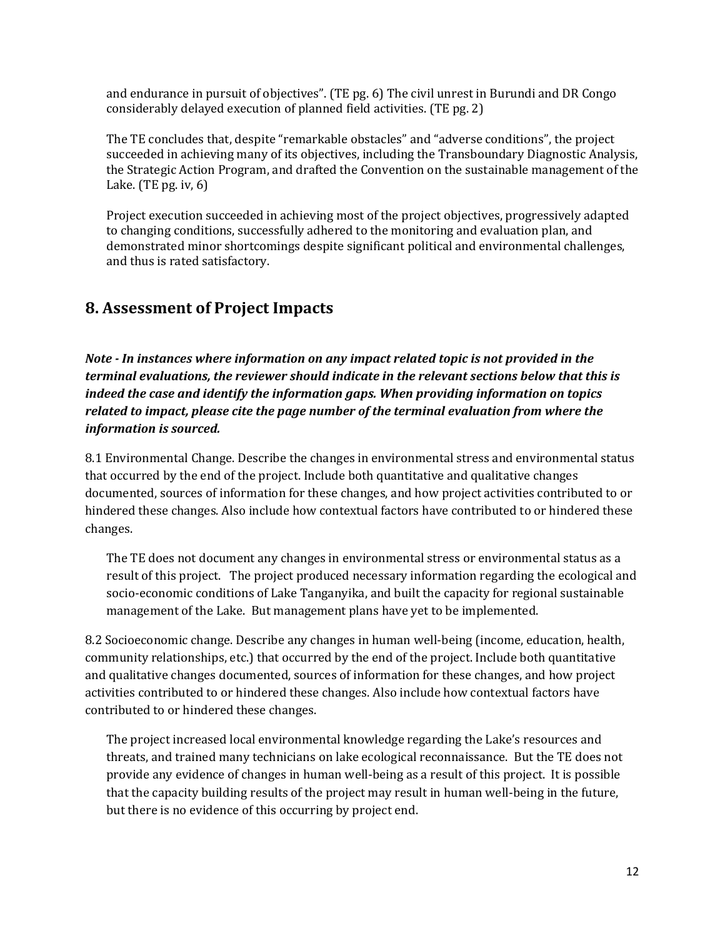and endurance in pursuit of objectives". (TE pg. 6) The civil unrest in Burundi and DR Congo considerably delayed execution of planned field activities. (TE pg. 2)

The TE concludes that, despite "remarkable obstacles" and "adverse conditions", the project succeeded in achieving many of its objectives, including the Transboundary Diagnostic Analysis, the Strategic Action Program, and drafted the Convention on the sustainable management of the Lake. (TE pg. iv, 6)

Project execution succeeded in achieving most of the project objectives, progressively adapted to changing conditions, successfully adhered to the monitoring and evaluation plan, and demonstrated minor shortcomings despite significant political and environmental challenges, and thus is rated satisfactory.

### **8. Assessment of Project Impacts**

*Note - In instances where information on any impact related topic is not provided in the terminal evaluations, the reviewer should indicate in the relevant sections below that this is indeed the case and identify the information gaps. When providing information on topics related to impact, please cite the page number of the terminal evaluation from where the information is sourced.* 

8.1 Environmental Change. Describe the changes in environmental stress and environmental status that occurred by the end of the project. Include both quantitative and qualitative changes documented, sources of information for these changes, and how project activities contributed to or hindered these changes. Also include how contextual factors have contributed to or hindered these changes.

The TE does not document any changes in environmental stress or environmental status as a result of this project. The project produced necessary information regarding the ecological and socio-economic conditions of Lake Tanganyika, and built the capacity for regional sustainable management of the Lake. But management plans have yet to be implemented.

8.2 Socioeconomic change. Describe any changes in human well-being (income, education, health, community relationships, etc.) that occurred by the end of the project. Include both quantitative and qualitative changes documented, sources of information for these changes, and how project activities contributed to or hindered these changes. Also include how contextual factors have contributed to or hindered these changes.

The project increased local environmental knowledge regarding the Lake's resources and threats, and trained many technicians on lake ecological reconnaissance. But the TE does not provide any evidence of changes in human well-being as a result of this project. It is possible that the capacity building results of the project may result in human well-being in the future, but there is no evidence of this occurring by project end.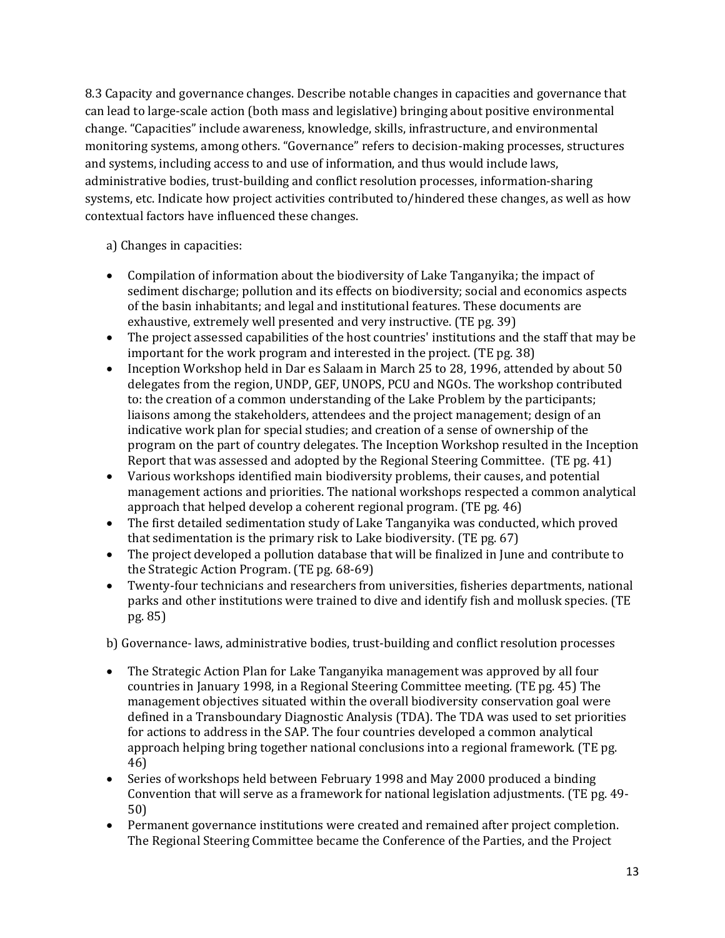8.3 Capacity and governance changes. Describe notable changes in capacities and governance that can lead to large-scale action (both mass and legislative) bringing about positive environmental change. "Capacities" include awareness, knowledge, skills, infrastructure, and environmental monitoring systems, among others. "Governance" refers to decision-making processes, structures and systems, including access to and use of information, and thus would include laws, administrative bodies, trust-building and conflict resolution processes, information-sharing systems, etc. Indicate how project activities contributed to/hindered these changes, as well as how contextual factors have influenced these changes.

#### a) Changes in capacities:

- Compilation of information about the biodiversity of Lake Tanganyika; the impact of sediment discharge; pollution and its effects on biodiversity; social and economics aspects of the basin inhabitants; and legal and institutional features. These documents are exhaustive, extremely well presented and very instructive. (TE pg. 39)
- The project assessed capabilities of the host countries' institutions and the staff that may be important for the work program and interested in the project. (TE pg. 38)
- Inception Workshop held in Dar es Salaam in March 25 to 28, 1996, attended by about 50 delegates from the region, UNDP, GEF, UNOPS, PCU and NGOs. The workshop contributed to: the creation of a common understanding of the Lake Problem by the participants; liaisons among the stakeholders, attendees and the project management; design of an indicative work plan for special studies; and creation of a sense of ownership of the program on the part of country delegates. The Inception Workshop resulted in the Inception Report that was assessed and adopted by the Regional Steering Committee. (TE pg. 41)
- Various workshops identified main biodiversity problems, their causes, and potential management actions and priorities. The national workshops respected a common analytical approach that helped develop a coherent regional program. (TE pg. 46)
- The first detailed sedimentation study of Lake Tanganyika was conducted, which proved that sedimentation is the primary risk to Lake biodiversity. (TE pg. 67)
- The project developed a pollution database that will be finalized in June and contribute to the Strategic Action Program. (TE pg. 68-69)
- Twenty-four technicians and researchers from universities, fisheries departments, national parks and other institutions were trained to dive and identify fish and mollusk species. (TE pg. 85)

b) Governance- laws, administrative bodies, trust-building and conflict resolution processes

- The Strategic Action Plan for Lake Tanganyika management was approved by all four countries in January 1998, in a Regional Steering Committee meeting. (TE pg. 45) The management objectives situated within the overall biodiversity conservation goal were defined in a Transboundary Diagnostic Analysis (TDA). The TDA was used to set priorities for actions to address in the SAP. The four countries developed a common analytical approach helping bring together national conclusions into a regional framework. (TE pg. 46)
- Series of workshops held between February 1998 and May 2000 produced a binding Convention that will serve as a framework for national legislation adjustments. (TE pg. 49- 50)
- Permanent governance institutions were created and remained after project completion. The Regional Steering Committee became the Conference of the Parties, and the Project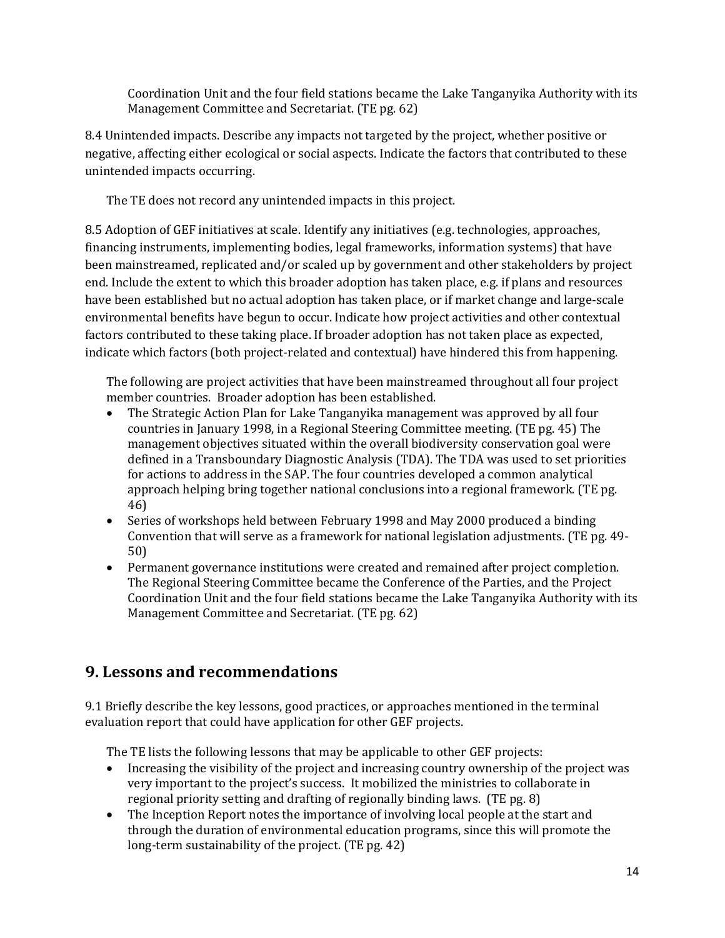Coordination Unit and the four field stations became the Lake Tanganyika Authority with its Management Committee and Secretariat. (TE pg. 62)

8.4 Unintended impacts. Describe any impacts not targeted by the project, whether positive or negative, affecting either ecological or social aspects. Indicate the factors that contributed to these unintended impacts occurring.

The TE does not record any unintended impacts in this project.

8.5 Adoption of GEF initiatives at scale. Identify any initiatives (e.g. technologies, approaches, financing instruments, implementing bodies, legal frameworks, information systems) that have been mainstreamed, replicated and/or scaled up by government and other stakeholders by project end. Include the extent to which this broader adoption has taken place, e.g. if plans and resources have been established but no actual adoption has taken place, or if market change and large-scale environmental benefits have begun to occur. Indicate how project activities and other contextual factors contributed to these taking place. If broader adoption has not taken place as expected, indicate which factors (both project-related and contextual) have hindered this from happening.

The following are project activities that have been mainstreamed throughout all four project member countries. Broader adoption has been established.

- The Strategic Action Plan for Lake Tanganyika management was approved by all four countries in January 1998, in a Regional Steering Committee meeting. (TE pg. 45) The management objectives situated within the overall biodiversity conservation goal were defined in a Transboundary Diagnostic Analysis (TDA). The TDA was used to set priorities for actions to address in the SAP. The four countries developed a common analytical approach helping bring together national conclusions into a regional framework. (TE pg. 46)
- Series of workshops held between February 1998 and May 2000 produced a binding Convention that will serve as a framework for national legislation adjustments. (TE pg. 49- 50)
- Permanent governance institutions were created and remained after project completion. The Regional Steering Committee became the Conference of the Parties, and the Project Coordination Unit and the four field stations became the Lake Tanganyika Authority with its Management Committee and Secretariat. (TE pg. 62)

### **9. Lessons and recommendations**

9.1 Briefly describe the key lessons, good practices, or approaches mentioned in the terminal evaluation report that could have application for other GEF projects.

The TE lists the following lessons that may be applicable to other GEF projects:

- Increasing the visibility of the project and increasing country ownership of the project was very important to the project's success. It mobilized the ministries to collaborate in regional priority setting and drafting of regionally binding laws. (TE pg. 8)
- The Inception Report notes the importance of involving local people at the start and through the duration of environmental education programs, since this will promote the long-term sustainability of the project. (TE pg. 42)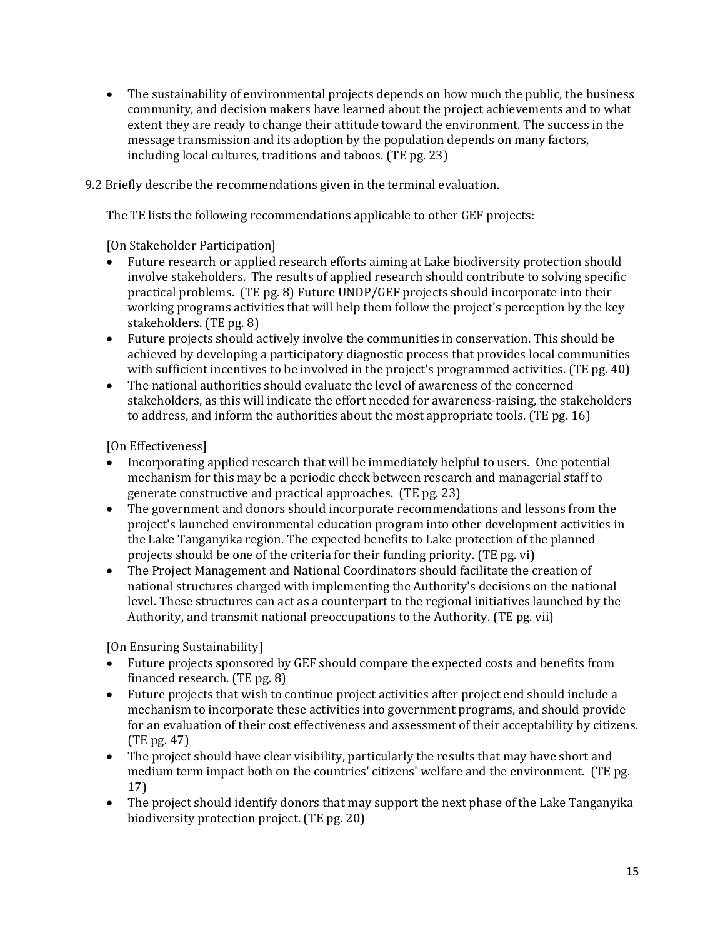• The sustainability of environmental projects depends on how much the public, the business community, and decision makers have learned about the project achievements and to what extent they are ready to change their attitude toward the environment. The success in the message transmission and its adoption by the population depends on many factors, including local cultures, traditions and taboos. (TE pg. 23)

9.2 Briefly describe the recommendations given in the terminal evaluation.

The TE lists the following recommendations applicable to other GEF projects:

[On Stakeholder Participation]

- Future research or applied research efforts aiming at Lake biodiversity protection should involve stakeholders. The results of applied research should contribute to solving specific practical problems. (TE pg. 8) Future UNDP/GEF projects should incorporate into their working programs activities that will help them follow the project's perception by the key stakeholders. (TE pg. 8)
- Future projects should actively involve the communities in conservation. This should be achieved by developing a participatory diagnostic process that provides local communities with sufficient incentives to be involved in the project's programmed activities. (TE pg. 40)
- The national authorities should evaluate the level of awareness of the concerned stakeholders, as this will indicate the effort needed for awareness-raising, the stakeholders to address, and inform the authorities about the most appropriate tools. (TE pg. 16)

[On Effectiveness]

- Incorporating applied research that will be immediately helpful to users. One potential mechanism for this may be a periodic check between research and managerial staff to generate constructive and practical approaches. (TE pg. 23)
- The government and donors should incorporate recommendations and lessons from the project's launched environmental education program into other development activities in the Lake Tanganyika region. The expected benefits to Lake protection of the planned projects should be one of the criteria for their funding priority. (TE pg. vi)
- The Project Management and National Coordinators should facilitate the creation of national structures charged with implementing the Authority's decisions on the national level. These structures can act as a counterpart to the regional initiatives launched by the Authority, and transmit national preoccupations to the Authority. (TE pg. vii)

[On Ensuring Sustainability]

- Future projects sponsored by GEF should compare the expected costs and benefits from financed research. (TE pg. 8)
- Future projects that wish to continue project activities after project end should include a mechanism to incorporate these activities into government programs, and should provide for an evaluation of their cost effectiveness and assessment of their acceptability by citizens. (TE pg. 47)
- The project should have clear visibility, particularly the results that may have short and medium term impact both on the countries' citizens' welfare and the environment. (TE pg. 17)
- The project should identify donors that may support the next phase of the Lake Tanganyika biodiversity protection project. (TE pg. 20)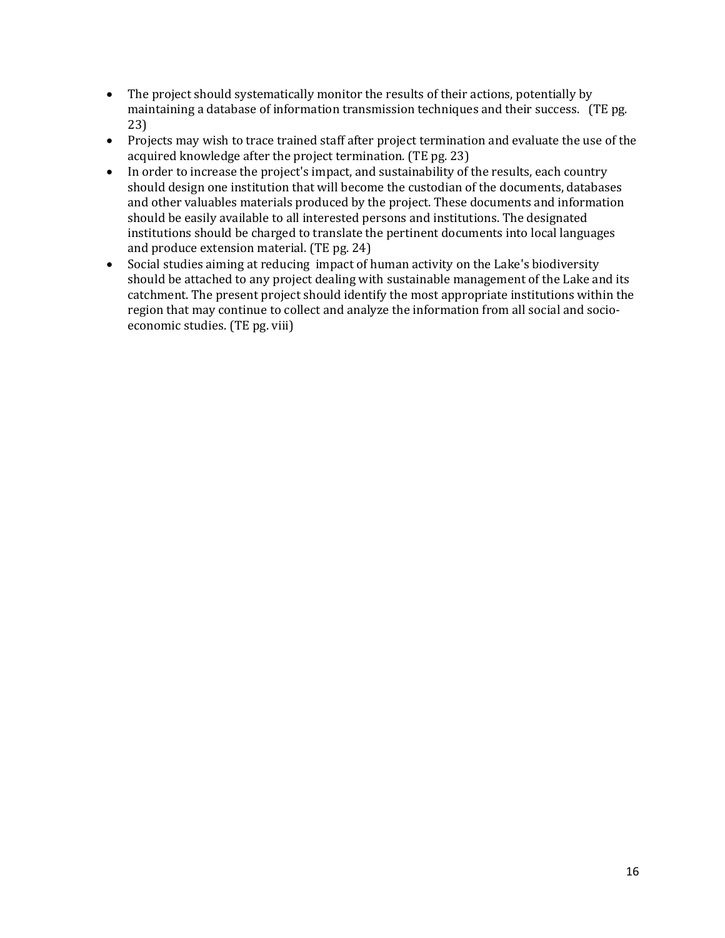- The project should systematically monitor the results of their actions, potentially by maintaining a database of information transmission techniques and their success. (TE pg. 23)
- Projects may wish to trace trained staff after project termination and evaluate the use of the acquired knowledge after the project termination. (TE pg. 23)
- In order to increase the project's impact, and sustainability of the results, each country should design one institution that will become the custodian of the documents, databases and other valuables materials produced by the project. These documents and information should be easily available to all interested persons and institutions. The designated institutions should be charged to translate the pertinent documents into local languages and produce extension material. (TE pg. 24)
- Social studies aiming at reducing impact of human activity on the Lake's biodiversity should be attached to any project dealing with sustainable management of the Lake and its catchment. The present project should identify the most appropriate institutions within the region that may continue to collect and analyze the information from all social and socioeconomic studies. (TE pg. viii)